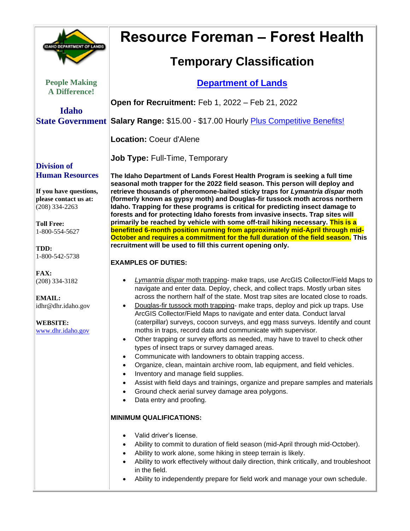| <b>IDAHO DEPARTMENT OF LANDS</b>                                                                 | <b>Resource Foreman - Forest Health</b>                                                                                                                                                                                                                                                                                                                                                                                                                                                                                                                                                                                                                                                                                                                                                                                                                                                                                                                                                                                                                                                                            |
|--------------------------------------------------------------------------------------------------|--------------------------------------------------------------------------------------------------------------------------------------------------------------------------------------------------------------------------------------------------------------------------------------------------------------------------------------------------------------------------------------------------------------------------------------------------------------------------------------------------------------------------------------------------------------------------------------------------------------------------------------------------------------------------------------------------------------------------------------------------------------------------------------------------------------------------------------------------------------------------------------------------------------------------------------------------------------------------------------------------------------------------------------------------------------------------------------------------------------------|
|                                                                                                  | <b>Temporary Classification</b>                                                                                                                                                                                                                                                                                                                                                                                                                                                                                                                                                                                                                                                                                                                                                                                                                                                                                                                                                                                                                                                                                    |
| <b>People Making</b><br><b>A Difference!</b>                                                     | <b>Department of Lands</b>                                                                                                                                                                                                                                                                                                                                                                                                                                                                                                                                                                                                                                                                                                                                                                                                                                                                                                                                                                                                                                                                                         |
| <b>Idaho</b>                                                                                     | Open for Recruitment: Feb 1, 2022 - Feb 21, 2022                                                                                                                                                                                                                                                                                                                                                                                                                                                                                                                                                                                                                                                                                                                                                                                                                                                                                                                                                                                                                                                                   |
|                                                                                                  | State Government Salary Range: \$15.00 - \$17.00 Hourly Plus Competitive Benefits!                                                                                                                                                                                                                                                                                                                                                                                                                                                                                                                                                                                                                                                                                                                                                                                                                                                                                                                                                                                                                                 |
|                                                                                                  | <b>Location: Coeur d'Alene</b>                                                                                                                                                                                                                                                                                                                                                                                                                                                                                                                                                                                                                                                                                                                                                                                                                                                                                                                                                                                                                                                                                     |
| <b>Division of</b>                                                                               | <b>Job Type: Full-Time, Temporary</b>                                                                                                                                                                                                                                                                                                                                                                                                                                                                                                                                                                                                                                                                                                                                                                                                                                                                                                                                                                                                                                                                              |
| <b>Human Resources</b><br>If you have questions,<br>please contact us at:<br>$(208)$ 334-2263    | The Idaho Department of Lands Forest Health Program is seeking a full time<br>seasonal moth trapper for the 2022 field season. This person will deploy and<br>retrieve thousands of pheromone-baited sticky traps for Lymantria dispar moth<br>(formerly known as gypsy moth) and Douglas-fir tussock moth across northern<br>Idaho. Trapping for these programs is critical for predicting insect damage to<br>forests and for protecting Idaho forests from invasive insects. Trap sites will                                                                                                                                                                                                                                                                                                                                                                                                                                                                                                                                                                                                                    |
| <b>Toll Free:</b><br>1-800-554-5627<br>TDD:                                                      | primarily be reached by vehicle with some off-trail hiking necessary. This is a<br>benefitted 6-month position running from approximately mid-April through mid-<br>October and requires a commitment for the full duration of the field season. This<br>recruitment will be used to fill this current opening only.                                                                                                                                                                                                                                                                                                                                                                                                                                                                                                                                                                                                                                                                                                                                                                                               |
| 1-800-542-5738                                                                                   | <b>EXAMPLES OF DUTIES:</b>                                                                                                                                                                                                                                                                                                                                                                                                                                                                                                                                                                                                                                                                                                                                                                                                                                                                                                                                                                                                                                                                                         |
| FAX:<br>$(208)$ 334-3182<br>EMAIL:<br>idhr@dhr.idaho.gov<br><b>WEBSITE:</b><br>www.dhr.idaho.gov | Lymantria dispar moth trapping- make traps, use ArcGIS Collector/Field Maps to<br>$\bullet$<br>navigate and enter data. Deploy, check, and collect traps. Mostly urban sites<br>across the northern half of the state. Most trap sites are located close to roads.<br>Douglas-fir tussock moth trapping- make traps, deploy and pick up traps. Use<br>$\bullet$<br>ArcGIS Collector/Field Maps to navigate and enter data. Conduct larval<br>(caterpillar) surveys, cocoon surveys, and egg mass surveys. Identify and count<br>moths in traps, record data and communicate with supervisor.<br>Other trapping or survey efforts as needed, may have to travel to check other<br>$\bullet$<br>types of insect traps or survey damaged areas.<br>Communicate with landowners to obtain trapping access.<br>Organize, clean, maintain archive room, lab equipment, and field vehicles.<br>$\bullet$<br>Inventory and manage field supplies.<br>٠<br>Assist with field days and trainings, organize and prepare samples and materials<br>Ground check aerial survey damage area polygons.<br>Data entry and proofing. |
|                                                                                                  | <b>MINIMUM QUALIFICATIONS:</b><br>Valid driver's license.<br>Ability to commit to duration of field season (mid-April through mid-October).<br>Ability to work alone, some hiking in steep terrain is likely.<br>Ability to work effectively without daily direction, think critically, and troubleshoot<br>in the field.<br>Ability to independently prepare for field work and manage your own schedule.                                                                                                                                                                                                                                                                                                                                                                                                                                                                                                                                                                                                                                                                                                         |